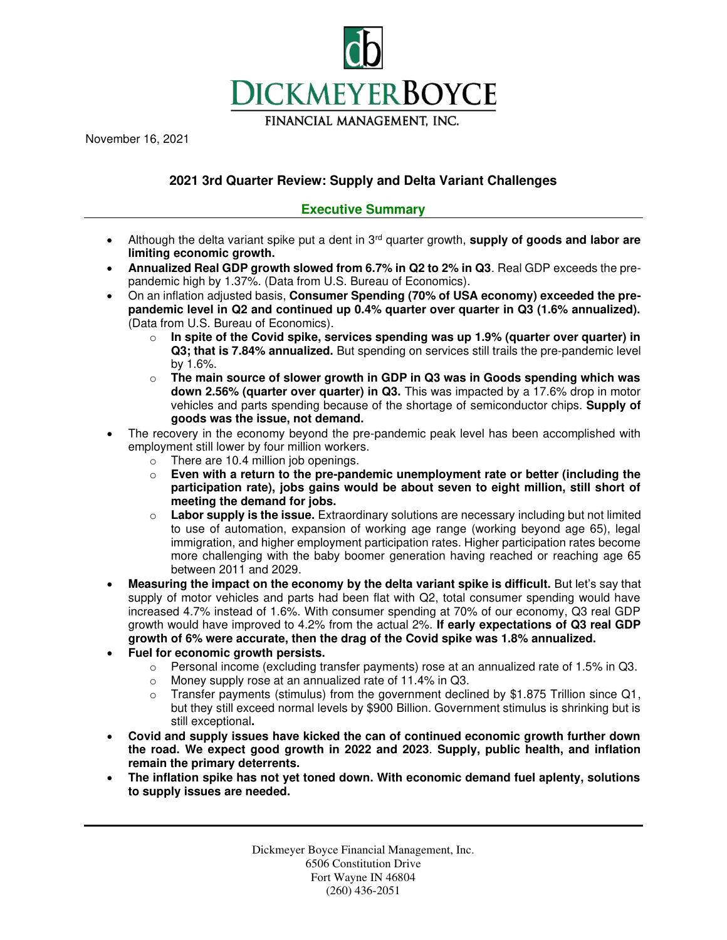

November 16, 2021

# **2021 3rd Quarter Review: Supply and Delta Variant Challenges**

## **Executive Summary**

- Although the delta variant spike put a dent in 3rd quarter growth, **supply of goods and labor are limiting economic growth.**
- **Annualized Real GDP growth slowed from 6.7% in Q2 to 2% in Q3**. Real GDP exceeds the prepandemic high by 1.37%. (Data from U.S. Bureau of Economics).
- On an inflation adjusted basis, **Consumer Spending (70% of USA economy) exceeded the prepandemic level in Q2 and continued up 0.4% quarter over quarter in Q3 (1.6% annualized).** (Data from U.S. Bureau of Economics).
	- $\circ$  In spite of the Covid spike, services spending was up 1.9% (quarter over quarter) in **Q3; that is 7.84% annualized.** But spending on services still trails the pre-pandemic level by 1.6%.
	- o **The main source of slower growth in GDP in Q3 was in Goods spending which was down 2.56% (quarter over quarter) in Q3.** This was impacted by a 17.6% drop in motor vehicles and parts spending because of the shortage of semiconductor chips. **Supply of goods was the issue, not demand.**
- The recovery in the economy beyond the pre-pandemic peak level has been accomplished with employment still lower by four million workers.
	- $\circ$  There are 10.4 million job openings.
	- o **Even with a return to the pre-pandemic unemployment rate or better (including the participation rate), jobs gains would be about seven to eight million, still short of meeting the demand for jobs.**
	- o **Labor supply is the issue.** Extraordinary solutions are necessary including but not limited to use of automation, expansion of working age range (working beyond age 65), legal immigration, and higher employment participation rates. Higher participation rates become more challenging with the baby boomer generation having reached or reaching age 65 between 2011 and 2029.
- **Measuring the impact on the economy by the delta variant spike is difficult.** But let's say that supply of motor vehicles and parts had been flat with Q2, total consumer spending would have increased 4.7% instead of 1.6%. With consumer spending at 70% of our economy, Q3 real GDP growth would have improved to 4.2% from the actual 2%. **If early expectations of Q3 real GDP growth of 6% were accurate, then the drag of the Covid spike was 1.8% annualized.**
- **Fuel for economic growth persists.** 
	- $\circ$  Personal income (excluding transfer payments) rose at an annualized rate of 1.5% in Q3.
	- o Money supply rose at an annualized rate of 11.4% in Q3.
	- $\circ$  Transfer payments (stimulus) from the government declined by \$1.875 Trillion since Q1, but they still exceed normal levels by \$900 Billion. Government stimulus is shrinking but is still exceptional**.**
- **Covid and supply issues have kicked the can of continued economic growth further down the road. We expect good growth in 2022 and 2023**. **Supply, public health, and inflation remain the primary deterrents.**
- **The inflation spike has not yet toned down. With economic demand fuel aplenty, solutions to supply issues are needed.**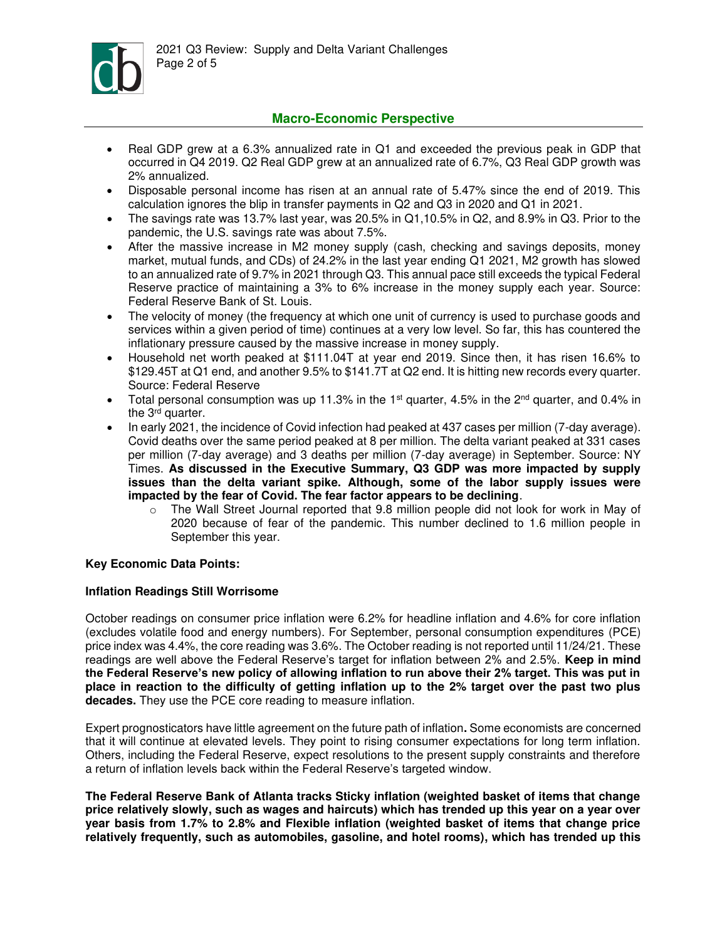

## **Macro-Economic Perspective**

- Real GDP grew at a 6.3% annualized rate in Q1 and exceeded the previous peak in GDP that occurred in Q4 2019. Q2 Real GDP grew at an annualized rate of 6.7%, Q3 Real GDP growth was 2% annualized.
- Disposable personal income has risen at an annual rate of 5.47% since the end of 2019. This calculation ignores the blip in transfer payments in Q2 and Q3 in 2020 and Q1 in 2021.
- The savings rate was 13.7% last year, was 20.5% in Q1,10.5% in Q2, and 8.9% in Q3. Prior to the pandemic, the U.S. savings rate was about 7.5%.
- After the massive increase in M2 money supply (cash, checking and savings deposits, money market, mutual funds, and CDs) of 24.2% in the last year ending Q1 2021, M2 growth has slowed to an annualized rate of 9.7% in 2021 through Q3. This annual pace still exceeds the typical Federal Reserve practice of maintaining a 3% to 6% increase in the money supply each year. Source: Federal Reserve Bank of St. Louis.
- The velocity of money (the frequency at which one unit of currency is used to purchase goods and services within a given period of time) continues at a very low level. So far, this has countered the inflationary pressure caused by the massive increase in money supply.
- Household net worth peaked at \$111.04T at year end 2019. Since then, it has risen 16.6% to \$129.45T at Q1 end, and another 9.5% to \$141.7T at Q2 end. It is hitting new records every quarter. Source: Federal Reserve
- Total personal consumption was up 11.3% in the 1<sup>st</sup> quarter, 4.5% in the 2<sup>nd</sup> quarter, and 0.4% in the 3<sup>rd</sup> quarter.
- In early 2021, the incidence of Covid infection had peaked at 437 cases per million (7-day average). Covid deaths over the same period peaked at 8 per million. The delta variant peaked at 331 cases per million (7-day average) and 3 deaths per million (7-day average) in September. Source: NY Times. **As discussed in the Executive Summary, Q3 GDP was more impacted by supply issues than the delta variant spike. Although, some of the labor supply issues were impacted by the fear of Covid. The fear factor appears to be declining**.
	- o The Wall Street Journal reported that 9.8 million people did not look for work in May of 2020 because of fear of the pandemic. This number declined to 1.6 million people in September this year.

## **Key Economic Data Points:**

## **Inflation Readings Still Worrisome**

October readings on consumer price inflation were 6.2% for headline inflation and 4.6% for core inflation (excludes volatile food and energy numbers). For September, personal consumption expenditures (PCE) price index was 4.4%, the core reading was 3.6%. The October reading is not reported until 11/24/21. These readings are well above the Federal Reserve's target for inflation between 2% and 2.5%. **Keep in mind the Federal Reserve's new policy of allowing inflation to run above their 2% target. This was put in place in reaction to the difficulty of getting inflation up to the 2% target over the past two plus decades.** They use the PCE core reading to measure inflation.

Expert prognosticators have little agreement on the future path of inflation**.** Some economists are concerned that it will continue at elevated levels. They point to rising consumer expectations for long term inflation. Others, including the Federal Reserve, expect resolutions to the present supply constraints and therefore a return of inflation levels back within the Federal Reserve's targeted window.

**The Federal Reserve Bank of Atlanta tracks Sticky inflation (weighted basket of items that change price relatively slowly, such as wages and haircuts) which has trended up this year on a year over year basis from 1.7% to 2.8% and Flexible inflation (weighted basket of items that change price relatively frequently, such as automobiles, gasoline, and hotel rooms), which has trended up this**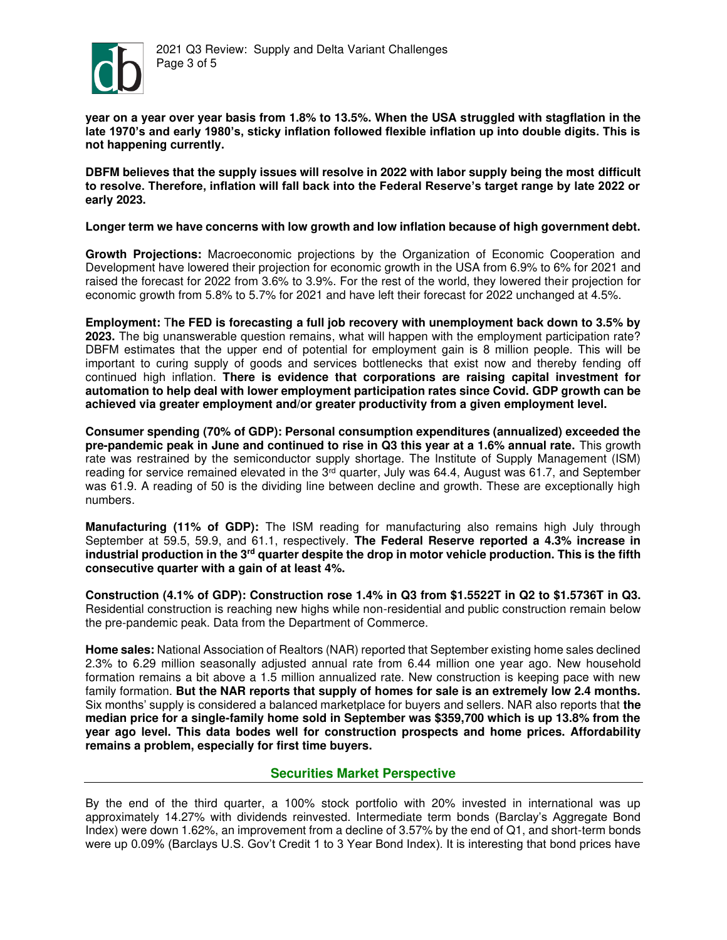

**year on a year over year basis from 1.8% to 13.5%. When the USA struggled with stagflation in the late 1970's and early 1980's, sticky inflation followed flexible inflation up into double digits. This is not happening currently.** 

**DBFM believes that the supply issues will resolve in 2022 with labor supply being the most difficult to resolve. Therefore, inflation will fall back into the Federal Reserve's target range by late 2022 or early 2023.** 

#### **Longer term we have concerns with low growth and low inflation because of high government debt.**

**Growth Projections:** Macroeconomic projections by the Organization of Economic Cooperation and Development have lowered their projection for economic growth in the USA from 6.9% to 6% for 2021 and raised the forecast for 2022 from 3.6% to 3.9%. For the rest of the world, they lowered their projection for economic growth from 5.8% to 5.7% for 2021 and have left their forecast for 2022 unchanged at 4.5%.

**Employment:** T**he FED is forecasting a full job recovery with unemployment back down to 3.5% by 2023.** The big unanswerable question remains, what will happen with the employment participation rate? DBFM estimates that the upper end of potential for employment gain is 8 million people. This will be important to curing supply of goods and services bottlenecks that exist now and thereby fending off continued high inflation. **There is evidence that corporations are raising capital investment for automation to help deal with lower employment participation rates since Covid. GDP growth can be achieved via greater employment and/or greater productivity from a given employment level.**

**Consumer spending (70% of GDP): Personal consumption expenditures (annualized) exceeded the pre-pandemic peak in June and continued to rise in Q3 this year at a 1.6% annual rate.** This growth rate was restrained by the semiconductor supply shortage. The Institute of Supply Management (ISM) reading for service remained elevated in the  $3<sup>rd</sup>$  quarter, July was 64.4, August was 61.7, and September was 61.9. A reading of 50 is the dividing line between decline and growth. These are exceptionally high numbers.

**Manufacturing (11% of GDP):** The ISM reading for manufacturing also remains high July through September at 59.5, 59.9, and 61.1, respectively. **The Federal Reserve reported a 4.3% increase in industrial production in the 3rd quarter despite the drop in motor vehicle production. This is the fifth consecutive quarter with a gain of at least 4%.**

**Construction (4.1% of GDP): Construction rose 1.4% in Q3 from \$1.5522T in Q2 to \$1.5736T in Q3.** Residential construction is reaching new highs while non-residential and public construction remain below the pre-pandemic peak. Data from the Department of Commerce.

**Home sales:** National Association of Realtors (NAR) reported that September existing home sales declined 2.3% to 6.29 million seasonally adjusted annual rate from 6.44 million one year ago. New household formation remains a bit above a 1.5 million annualized rate. New construction is keeping pace with new family formation. **But the NAR reports that supply of homes for sale is an extremely low 2.4 months.** Six months' supply is considered a balanced marketplace for buyers and sellers. NAR also reports that **the median price for a single-family home sold in September was \$359,700 which is up 13.8% from the year ago level. This data bodes well for construction prospects and home prices. Affordability remains a problem, especially for first time buyers.** 

## **Securities Market Perspective**

By the end of the third quarter, a 100% stock portfolio with 20% invested in international was up approximately 14.27% with dividends reinvested. Intermediate term bonds (Barclay's Aggregate Bond Index) were down 1.62%, an improvement from a decline of 3.57% by the end of Q1, and short-term bonds were up 0.09% (Barclays U.S. Gov't Credit 1 to 3 Year Bond Index). It is interesting that bond prices have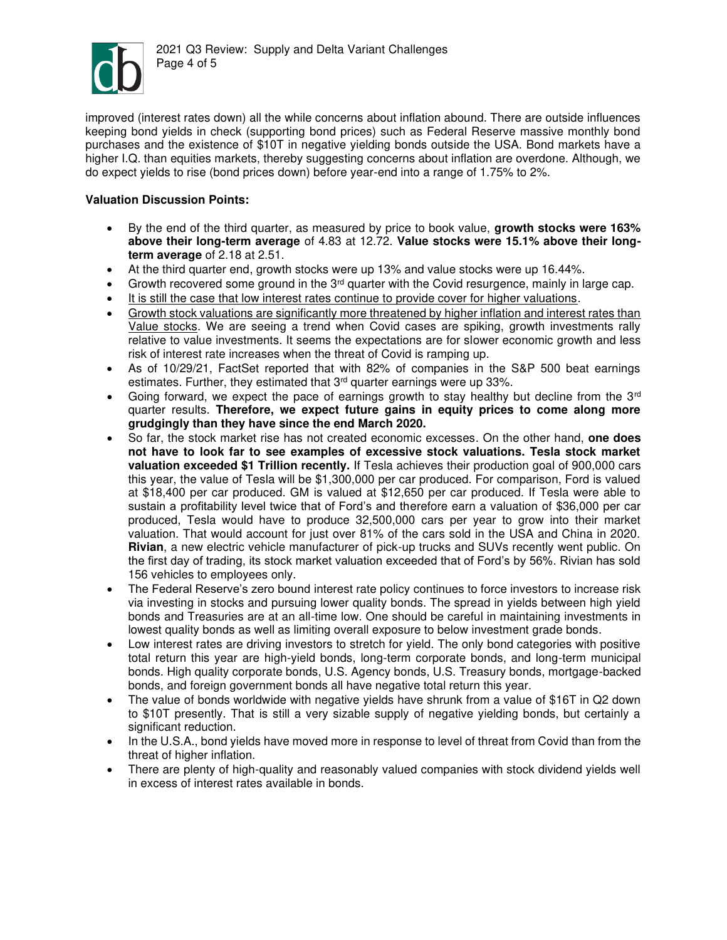

improved (interest rates down) all the while concerns about inflation abound. There are outside influences keeping bond yields in check (supporting bond prices) such as Federal Reserve massive monthly bond purchases and the existence of \$10T in negative yielding bonds outside the USA. Bond markets have a higher I.Q. than equities markets, thereby suggesting concerns about inflation are overdone. Although, we do expect yields to rise (bond prices down) before year-end into a range of 1.75% to 2%.

## **Valuation Discussion Points:**

- By the end of the third quarter, as measured by price to book value, **growth stocks were 163% above their long-term average** of 4.83 at 12.72. **Value stocks were 15.1% above their longterm average** of 2.18 at 2.51.
- At the third quarter end, growth stocks were up 13% and value stocks were up 16.44%.
- Growth recovered some ground in the  $3<sup>rd</sup>$  quarter with the Covid resurgence, mainly in large cap.
- It is still the case that low interest rates continue to provide cover for higher valuations.
- Growth stock valuations are significantly more threatened by higher inflation and interest rates than Value stocks. We are seeing a trend when Covid cases are spiking, growth investments rally relative to value investments. It seems the expectations are for slower economic growth and less risk of interest rate increases when the threat of Covid is ramping up.
- As of 10/29/21, FactSet reported that with 82% of companies in the S&P 500 beat earnings estimates. Further, they estimated that 3<sup>rd</sup> quarter earnings were up 33%.
- Going forward, we expect the pace of earnings growth to stay healthy but decline from the  $3<sup>rd</sup>$ quarter results. **Therefore, we expect future gains in equity prices to come along more grudgingly than they have since the end March 2020.**
- So far, the stock market rise has not created economic excesses. On the other hand, **one does not have to look far to see examples of excessive stock valuations. Tesla stock market valuation exceeded \$1 Trillion recently.** If Tesla achieves their production goal of 900,000 cars this year, the value of Tesla will be \$1,300,000 per car produced. For comparison, Ford is valued at \$18,400 per car produced. GM is valued at \$12,650 per car produced. If Tesla were able to sustain a profitability level twice that of Ford's and therefore earn a valuation of \$36,000 per car produced, Tesla would have to produce 32,500,000 cars per year to grow into their market valuation. That would account for just over 81% of the cars sold in the USA and China in 2020. **Rivian**, a new electric vehicle manufacturer of pick-up trucks and SUVs recently went public. On the first day of trading, its stock market valuation exceeded that of Ford's by 56%. Rivian has sold 156 vehicles to employees only.
- The Federal Reserve's zero bound interest rate policy continues to force investors to increase risk via investing in stocks and pursuing lower quality bonds. The spread in yields between high yield bonds and Treasuries are at an all-time low. One should be careful in maintaining investments in lowest quality bonds as well as limiting overall exposure to below investment grade bonds.
- Low interest rates are driving investors to stretch for yield. The only bond categories with positive total return this year are high-yield bonds, long-term corporate bonds, and long-term municipal bonds. High quality corporate bonds, U.S. Agency bonds, U.S. Treasury bonds, mortgage-backed bonds, and foreign government bonds all have negative total return this year.
- The value of bonds worldwide with negative yields have shrunk from a value of \$16T in Q2 down to \$10T presently. That is still a very sizable supply of negative yielding bonds, but certainly a significant reduction.
- In the U.S.A., bond yields have moved more in response to level of threat from Covid than from the threat of higher inflation.
- There are plenty of high-quality and reasonably valued companies with stock dividend yields well in excess of interest rates available in bonds.